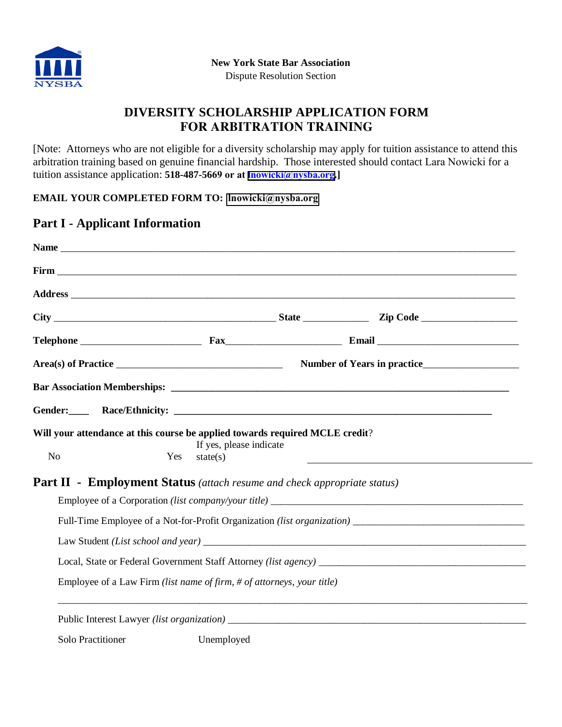

# **DIVERSITY SCHOLARSHIP APPLICATION FORM FOR ARBITRATION TRAINING**

[Note: Attorneys who are not eligible for a diversity scholarship may apply for tuition assistance to attend this arbitration training based on genuine financial hardship. Those interested should contact Lara Nowicki for a tuition assistance application: **518-487-5669 or at lnowicki[@nysba.org](mailto:lnowicki@nysba.org).]** 

### **EMAIL YOUR COMPLETED FORM TO: lnowicki[@nysba.org](mailto:lnowicki@nysba.org)**

### **Part I - Applicant Information**

| N <sub>o</sub>           | Will your attendance at this course be applied towards required MCLE credit?<br>Yes<br>state(s) | If yes, please indicate | <u> 1989 - Johann Stein, marwolaethau a bhann an t-</u> |  |
|--------------------------|-------------------------------------------------------------------------------------------------|-------------------------|---------------------------------------------------------|--|
|                          | <b>Part II - Employment Status</b> (attach resume and check appropriate status)                 |                         |                                                         |  |
|                          |                                                                                                 |                         |                                                         |  |
|                          |                                                                                                 |                         |                                                         |  |
|                          |                                                                                                 |                         |                                                         |  |
|                          |                                                                                                 |                         |                                                         |  |
|                          | Employee of a Law Firm (list name of firm, # of attorneys, your title)                          |                         |                                                         |  |
|                          |                                                                                                 |                         |                                                         |  |
| <b>Solo Practitioner</b> | Unemployed                                                                                      |                         |                                                         |  |